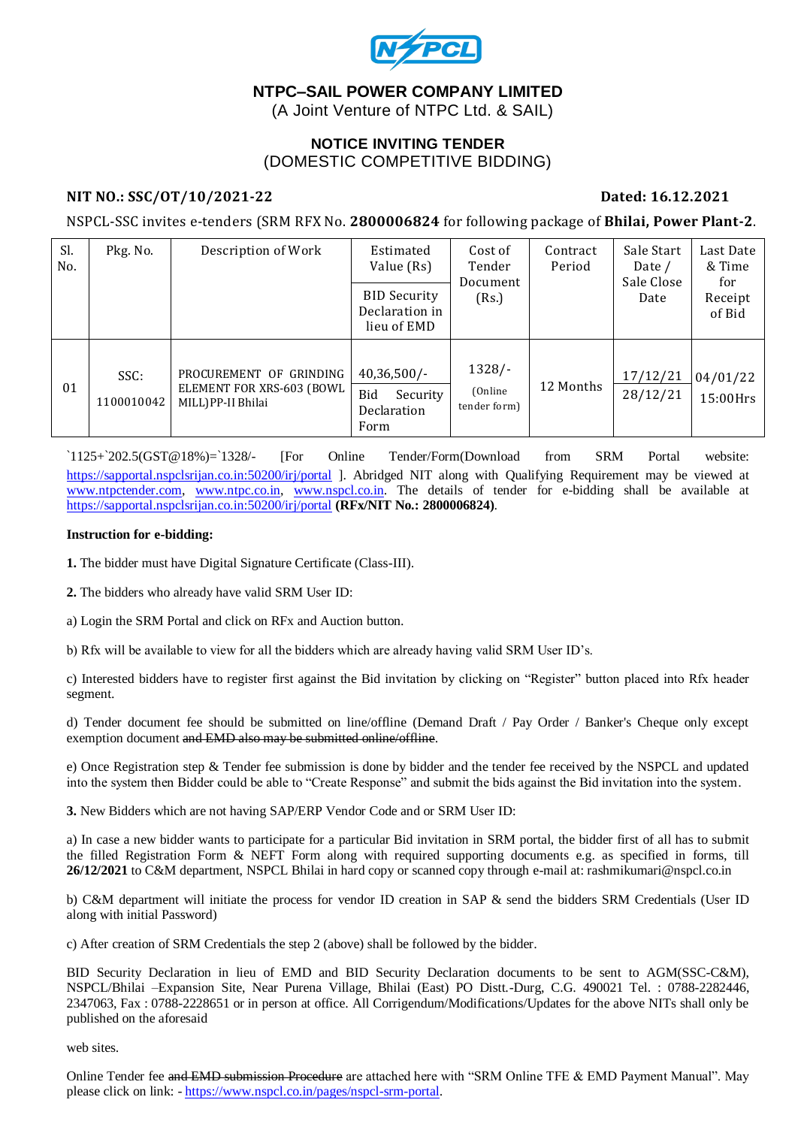

# **NTPC–SAIL POWER COMPANY LIMITED**

(A Joint Venture of NTPC Ltd. & SAIL)

#### **NOTICE INVITING TENDER** (DOMESTIC COMPETITIVE BIDDING)

#### **NIT NO.: SSC/OT/10/2021-22 Dated: 16.12.2021**

NSPCL-SSC invites e-tenders (SRM RFX No. **2800006824** for following package of **Bhilai, Power Plant-2**.

| Sl.<br>No. | Pkg. No.           | Description of Work                                                        | Estimated<br>Value (Rs)                                  | Cost of<br>Tender<br>Document<br>(Rs.) | Contract<br>Period | Sale Start<br>Date /<br>Sale Close<br>Date | Last Date<br>& Time<br>for<br>Receipt<br>of Bid |
|------------|--------------------|----------------------------------------------------------------------------|----------------------------------------------------------|----------------------------------------|--------------------|--------------------------------------------|-------------------------------------------------|
|            |                    |                                                                            | <b>BID Security</b><br>Declaration in<br>lieu of EMD     |                                        |                    |                                            |                                                 |
| 01         | SSC:<br>1100010042 | PROCUREMENT OF GRINDING<br>ELEMENT FOR XRS-603 (BOWL<br>MILL) PP-II Bhilai | $40,36,500/$ -<br>Bid<br>Security<br>Declaration<br>Form | $1328/-$<br>(Online)<br>tender form)   | 12 Months          | 17/12/21<br>28/12/21                       | 04/01/22<br>15:00Hrs                            |

`1125+`202.5(GST@18%)=`1328/- [For Online Tender/Form(Download from SRM Portal website: <https://sapportal.nspclsrijan.co.in:50200/irj/portal> ]. Abridged NIT along with Qualifying Requirement may be viewed at [www.ntpctender.com,](http://www.ntpctender.com/) [www.ntpc.co.in,](http://www.ntpc.co.in/) [www.nspcl.co.in.](http://www.nspcl.co.in/) The details of tender for e-bidding shall be available at <https://sapportal.nspclsrijan.co.in:50200/irj/portal> **(RFx/NIT No.: 2800006824)**.

#### **Instruction for e-bidding:**

**1.** The bidder must have Digital Signature Certificate (Class-III).

**2.** The bidders who already have valid SRM User ID:

a) Login the SRM Portal and click on RFx and Auction button.

b) Rfx will be available to view for all the bidders which are already having valid SRM User ID's.

c) Interested bidders have to register first against the Bid invitation by clicking on "Register" button placed into Rfx header segment.

d) Tender document fee should be submitted on line/offline (Demand Draft / Pay Order / Banker's Cheque only except exemption document and EMD also may be submitted online/offline.

e) Once Registration step & Tender fee submission is done by bidder and the tender fee received by the NSPCL and updated into the system then Bidder could be able to "Create Response" and submit the bids against the Bid invitation into the system.

**3.** New Bidders which are not having SAP/ERP Vendor Code and or SRM User ID:

a) In case a new bidder wants to participate for a particular Bid invitation in SRM portal, the bidder first of all has to submit the filled Registration Form & NEFT Form along with required supporting documents e.g. as specified in forms, till **26/12/2021** to C&M department, NSPCL Bhilai in hard copy or scanned copy through e-mail at: rashmikumari@nspcl.co.in

b) C&M department will initiate the process for vendor ID creation in SAP & send the bidders SRM Credentials (User ID along with initial Password)

c) After creation of SRM Credentials the step 2 (above) shall be followed by the bidder.

BID Security Declaration in lieu of EMD and BID Security Declaration documents to be sent to AGM(SSC-C&M), NSPCL/Bhilai –Expansion Site, Near Purena Village, Bhilai (East) PO Distt.-Durg, C.G. 490021 Tel. : 0788-2282446, 2347063, Fax : 0788-2228651 or in person at office. All Corrigendum/Modifications/Updates for the above NITs shall only be published on the aforesaid

web sites.

Online Tender fee and EMD submission Procedure are attached here with "SRM Online TFE & EMD Payment Manual". May please click on link: - [https://www.nspcl.co.in/pages/nspcl-srm-portal.](https://www.nspcl.co.in/pages/nspcl-srm-portal)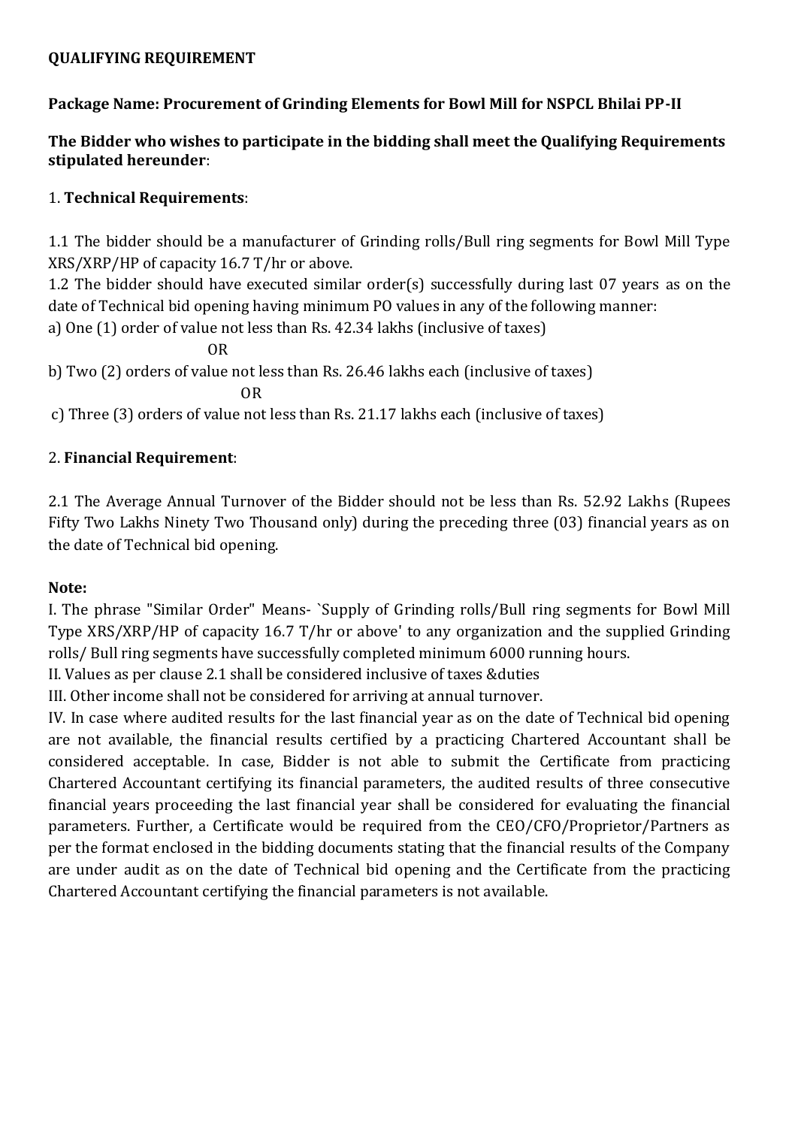### **QUALIFYING REQUIREMENT**

# **Package Name: Procurement of Grinding Elements for Bowl Mill for NSPCL Bhilai PP-II**

# **The Bidder who wishes to participate in the bidding shall meet the Qualifying Requirements stipulated hereunder**:

### 1. **Technical Requirements**:

1.1 The bidder should be a manufacturer of Grinding rolls/Bull ring segments for Bowl Mill Type XRS/XRP/HP of capacity 16.7 T/hr or above.

1.2 The bidder should have executed similar order(s) successfully during last 07 years as on the date of Technical bid opening having minimum PO values in any of the following manner:

a) One (1) order of value not less than Rs. 42.34 lakhs (inclusive of taxes)

OR

b) Two (2) orders of value not less than Rs. 26.46 lakhs each (inclusive of taxes)

OR

c) Three (3) orders of value not less than Rs. 21.17 lakhs each (inclusive of taxes)

## 2. **Financial Requirement**:

2.1 The Average Annual Turnover of the Bidder should not be less than Rs. 52.92 Lakhs (Rupees Fifty Two Lakhs Ninety Two Thousand only) during the preceding three (03) financial years as on the date of Technical bid opening.

#### **Note:**

I. The phrase "Similar Order" Means- `Supply of Grinding rolls/Bull ring segments for Bowl Mill Type XRS/XRP/HP of capacity 16.7 T/hr or above' to any organization and the supplied Grinding rolls/ Bull ring segments have successfully completed minimum 6000 running hours.

II. Values as per clause 2.1 shall be considered inclusive of taxes &duties

III. Other income shall not be considered for arriving at annual turnover.

IV. In case where audited results for the last financial year as on the date of Technical bid opening are not available, the financial results certified by a practicing Chartered Accountant shall be considered acceptable. In case, Bidder is not able to submit the Certificate from practicing Chartered Accountant certifying its financial parameters, the audited results of three consecutive financial years proceeding the last financial year shall be considered for evaluating the financial parameters. Further, a Certificate would be required from the CEO/CFO/Proprietor/Partners as per the format enclosed in the bidding documents stating that the financial results of the Company are under audit as on the date of Technical bid opening and the Certificate from the practicing Chartered Accountant certifying the financial parameters is not available.